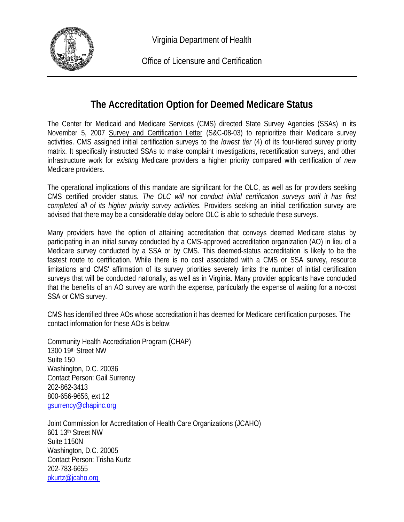

Virginia Department of Health

Office of Licensure and Certification

## **The Accreditation Option for Deemed Medicare Status**

The Center for Medicaid and Medicare Services (CMS) directed State Survey Agencies (SSAs) in its November 5, 2007 Survey and Certification Letter (S&C-08-03) to reprioritize their Medicare survey activities. CMS assigned initial certification surveys to the *lowest tier* (4) of its four-tiered survey priority matrix. It specifically instructed SSAs to make complaint investigations, recertification surveys, and other infrastructure work for *existing* Medicare providers a higher priority compared with certification of *new* Medicare providers.

The operational implications of this mandate are significant for the OLC, as well as for providers seeking CMS certified provider status. *The OLC will not conduct initial certification surveys until it has first completed all of its higher priority survey activities.* Providers seeking an initial certification survey are advised that there may be a considerable delay before OLC is able to schedule these surveys.

Many providers have the option of attaining accreditation that conveys deemed Medicare status by participating in an initial survey conducted by a CMS-approved accreditation organization (AO) in lieu of a Medicare survey conducted by a SSA or by CMS. This deemed-status accreditation is likely to be the fastest route to certification. While there is no cost associated with a CMS or SSA survey, resource limitations and CMS' affirmation of its survey priorities severely limits the number of initial certification surveys that will be conducted nationally, as well as in Virginia. Many provider applicants have concluded that the benefits of an AO survey are worth the expense, particularly the expense of waiting for a no-cost SSA or CMS survey.

CMS has identified three AOs whose accreditation it has deemed for Medicare certification purposes. The contact information for these AOs is below:

Community Health Accreditation Program (CHAP) 1300 19th Street NW Suite 150 Washington, D.C. 20036 Contact Person: Gail Surrency 202-862-3413 800-656-9656, ext.12 [gsurrency@chapinc.org](mailto:gsurrency@chapinc.org)

Joint Commission for Accreditation of Health Care Organizations (JCAHO) 601 13th Street NW Suite 1150N Washington, D.C. 20005 Contact Person: Trisha Kurtz 202-783-6655 [pkurtz@jcaho.org](mailto:pkurtz@jcaho.org)